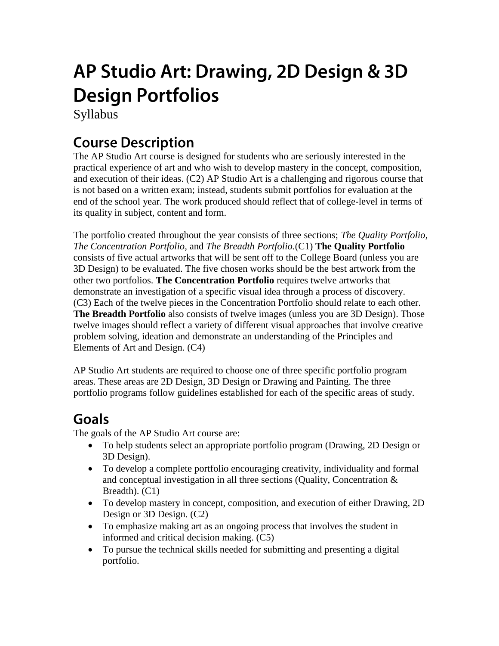# AP Studio Art: Drawing, 2D Design & 3D **Design Portfolios**

Syllabus

### **Course Description**

The AP Studio Art course is designed for students who are seriously interested in the practical experience of art and who wish to develop mastery in the concept, composition, and execution of their ideas. (C2) AP Studio Art is a challenging and rigorous course that is not based on a written exam; instead, students submit portfolios for evaluation at the end of the school year. The work produced should reflect that of college-level in terms of its quality in subject, content and form.

The portfolio created throughout the year consists of three sections; *The Quality Portfolio, The Concentration Portfolio,* and *The Breadth Portfolio.*(C1) **The Quality Portfolio** consists of five actual artworks that will be sent off to the College Board (unless you are 3D Design) to be evaluated. The five chosen works should be the best artwork from the other two portfolios. **The Concentration Portfolio** requires twelve artworks that demonstrate an investigation of a specific visual idea through a process of discovery. (C3) Each of the twelve pieces in the Concentration Portfolio should relate to each other. **The Breadth Portfolio** also consists of twelve images (unless you are 3D Design). Those twelve images should reflect a variety of different visual approaches that involve creative problem solving, ideation and demonstrate an understanding of the Principles and Elements of Art and Design. (C4)

AP Studio Art students are required to choose one of three specific portfolio program areas. These areas are 2D Design, 3D Design or Drawing and Painting. The three portfolio programs follow guidelines established for each of the specific areas of study.

### Goals

The goals of the AP Studio Art course are:

- To help students select an appropriate portfolio program (Drawing, 2D Design or 3D Design).
- To develop a complete portfolio encouraging creativity, individuality and formal and conceptual investigation in all three sections (Quality, Concentration & Breadth).  $(C1)$
- To develop mastery in concept, composition, and execution of either Drawing, 2D Design or 3D Design. (C2)
- To emphasize making art as an ongoing process that involves the student in informed and critical decision making. (C5)
- To pursue the technical skills needed for submitting and presenting a digital portfolio.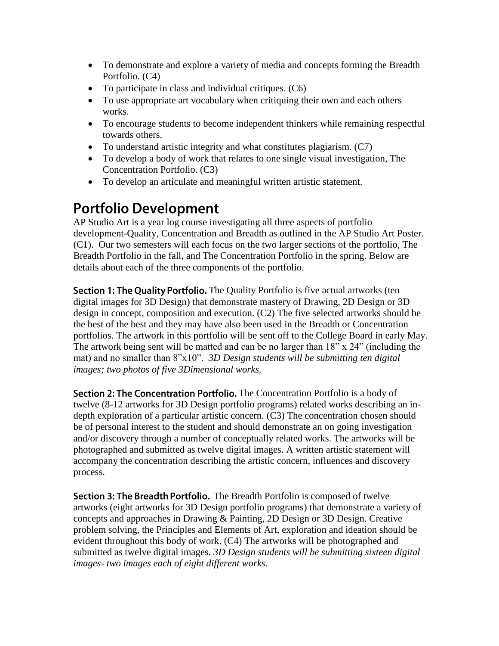- To demonstrate and explore a variety of media and concepts forming the Breadth Portfolio. (C4)
- To participate in class and individual critiques. (C6)
- To use appropriate art vocabulary when critiquing their own and each others works.
- To encourage students to become independent thinkers while remaining respectful towards others.
- To understand artistic integrity and what constitutes plagiarism. (C7)
- To develop a body of work that relates to one single visual investigation, The Concentration Portfolio. (C3)
- To develop an articulate and meaningful written artistic statement.

### **Portfolio Development**

AP Studio Art is a year log course investigating all three aspects of portfolio development-Quality, Concentration and Breadth as outlined in the AP Studio Art Poster. (C1). Our two semesters will each focus on the two larger sections of the portfolio, The Breadth Portfolio in the fall, and The Concentration Portfolio in the spring. Below are details about each of the three components of the portfolio.

**Section 1: The Quality Portfolio.** The Quality Portfolio is five actual artworks (ten digital images for 3D Design) that demonstrate mastery of Drawing, 2D Design or 3D design in concept, composition and execution. (C2) The five selected artworks should be the best of the best and they may have also been used in the Breadth or Concentration portfolios. The artwork in this portfolio will be sent off to the College Board in early May. The artwork being sent will be matted and can be no larger than  $18"$  x  $24"$  (including the mat) and no smaller than 8"x10". *3D Design students will be submitting ten digital images; two photos of five 3Dimensional works.*

Section 2: The Concentration Portfolio. The Concentration Portfolio is a body of twelve (8-12 artworks for 3D Design portfolio programs) related works describing an indepth exploration of a particular artistic concern. (C3) The concentration chosen should be of personal interest to the student and should demonstrate an on going investigation and/or discovery through a number of conceptually related works. The artworks will be photographed and submitted as twelve digital images. A written artistic statement will accompany the concentration describing the artistic concern, influences and discovery process.

Section 3: The Breadth Portfolio. The Breadth Portfolio is composed of twelve artworks (eight artworks for 3D Design portfolio programs) that demonstrate a variety of concepts and approaches in Drawing & Painting, 2D Design or 3D Design. Creative problem solving, the Principles and Elements of Art, exploration and ideation should be evident throughout this body of work. (C4) The artworks will be photographed and submitted as twelve digital images. *3D Design students will be submitting sixteen digital images- two images each of eight different works.*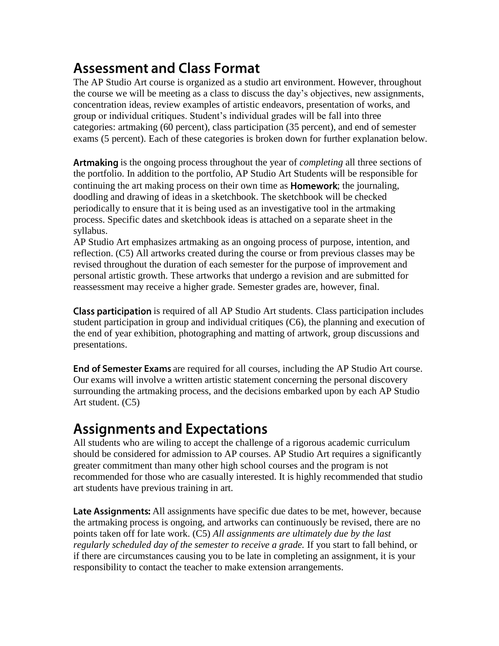### **Assessment and Class Format**

The AP Studio Art course is organized as a studio art environment. However, throughout the course we will be meeting as a class to discuss the day's objectives, new assignments, concentration ideas, review examples of artistic endeavors, presentation of works, and group or individual critiques. Student's individual grades will be fall into three categories: artmaking (60 percent), class participation (35 percent), and end of semester exams (5 percent). Each of these categories is broken down for further explanation below.

Artmaking is the ongoing process throughout the year of *completing* all three sections of the portfolio. In addition to the portfolio, AP Studio Art Students will be responsible for continuing the art making process on their own time as **Homework**; the journaling, doodling and drawing of ideas in a sketchbook. The sketchbook will be checked periodically to ensure that it is being used as an investigative tool in the artmaking process. Specific dates and sketchbook ideas is attached on a separate sheet in the syllabus.

AP Studio Art emphasizes artmaking as an ongoing process of purpose, intention, and reflection. (C5) All artworks created during the course or from previous classes may be revised throughout the duration of each semester for the purpose of improvement and personal artistic growth. These artworks that undergo a revision and are submitted for reassessment may receive a higher grade. Semester grades are, however, final.

**Class participation** is required of all AP Studio Art students. Class participation includes student participation in group and individual critiques (C6), the planning and execution of the end of year exhibition, photographing and matting of artwork, group discussions and presentations.

End of Semester Exams are required for all courses, including the AP Studio Art course. Our exams will involve a written artistic statement concerning the personal discovery surrounding the artmaking process, and the decisions embarked upon by each AP Studio Art student. (C5)

### **Assignments and Expectations**

All students who are wiling to accept the challenge of a rigorous academic curriculum should be considered for admission to AP courses. AP Studio Art requires a significantly greater commitment than many other high school courses and the program is not recommended for those who are casually interested. It is highly recommended that studio art students have previous training in art.

Late Assignments: All assignments have specific due dates to be met, however, because the artmaking process is ongoing, and artworks can continuously be revised, there are no points taken off for late work. (C5) *All assignments are ultimately due by the last regularly scheduled day of the semester to receive a grade.* If you start to fall behind, or if there are circumstances causing you to be late in completing an assignment, it is your responsibility to contact the teacher to make extension arrangements.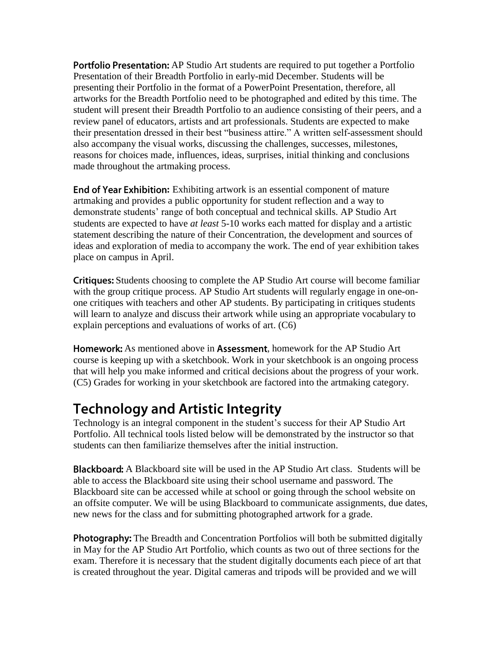**Portfolio Presentation:** AP Studio Art students are required to put together a Portfolio Presentation of their Breadth Portfolio in early-mid December. Students will be presenting their Portfolio in the format of a PowerPoint Presentation, therefore, all artworks for the Breadth Portfolio need to be photographed and edited by this time. The student will present their Breadth Portfolio to an audience consisting of their peers, and a review panel of educators, artists and art professionals. Students are expected to make their presentation dressed in their best "business attire." A written self-assessment should also accompany the visual works, discussing the challenges, successes, milestones, reasons for choices made, influences, ideas, surprises, initial thinking and conclusions made throughout the artmaking process.

**End of Year Exhibition:** Exhibiting artwork is an essential component of mature artmaking and provides a public opportunity for student reflection and a way to demonstrate students' range of both conceptual and technical skills. AP Studio Art students are expected to have *at least* 5-10 works each matted for display and a artistic statement describing the nature of their Concentration, the development and sources of ideas and exploration of media to accompany the work. The end of year exhibition takes place on campus in April.

**Critiques:** Students choosing to complete the AP Studio Art course will become familiar with the group critique process. AP Studio Art students will regularly engage in one-onone critiques with teachers and other AP students. By participating in critiques students will learn to analyze and discuss their artwork while using an appropriate vocabulary to explain perceptions and evaluations of works of art. (C6)

**Homework:** As mentioned above in **Assessment**, homework for the AP Studio Art course is keeping up with a sketchbook. Work in your sketchbook is an ongoing process that will help you make informed and critical decisions about the progress of your work. (C5) Grades for working in your sketchbook are factored into the artmaking category.

### **Technology and Artistic Integrity**

Technology is an integral component in the student's success for their AP Studio Art Portfolio. All technical tools listed below will be demonstrated by the instructor so that students can then familiarize themselves after the initial instruction.

Blackboard: A Blackboard site will be used in the AP Studio Art class. Students will be able to access the Blackboard site using their school username and password. The Blackboard site can be accessed while at school or going through the school website on an offsite computer. We will be using Blackboard to communicate assignments, due dates, new news for the class and for submitting photographed artwork for a grade.

Photography: The Breadth and Concentration Portfolios will both be submitted digitally in May for the AP Studio Art Portfolio, which counts as two out of three sections for the exam. Therefore it is necessary that the student digitally documents each piece of art that is created throughout the year. Digital cameras and tripods will be provided and we will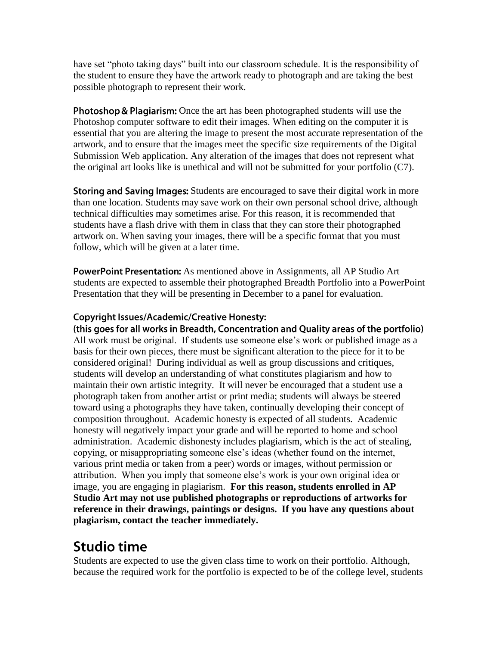have set "photo taking days" built into our classroom schedule. It is the responsibility of the student to ensure they have the artwork ready to photograph and are taking the best possible photograph to represent their work.

**Photoshop & Plagiarism:** Once the art has been photographed students will use the Photoshop computer software to edit their images. When editing on the computer it is essential that you are altering the image to present the most accurate representation of the artwork, and to ensure that the images meet the specific size requirements of the Digital Submission Web application. Any alteration of the images that does not represent what the original art looks like is unethical and will not be submitted for your portfolio (C7).

Storing and Saving Images: Students are encouraged to save their digital work in more than one location. Students may save work on their own personal school drive, although technical difficulties may sometimes arise. For this reason, it is recommended that students have a flash drive with them in class that they can store their photographed artwork on. When saving your images, there will be a specific format that you must follow, which will be given at a later time.

PowerPoint Presentation: As mentioned above in Assignments, all AP Studio Art students are expected to assemble their photographed Breadth Portfolio into a PowerPoint Presentation that they will be presenting in December to a panel for evaluation.

#### **Copyright Issues/Academic/Creative Honesty:**

(this goes for all works in Breadth, Concentration and Quality areas of the portfolio) All work must be original. If students use someone else's work or published image as a basis for their own pieces, there must be significant alteration to the piece for it to be considered original! During individual as well as group discussions and critiques, students will develop an understanding of what constitutes plagiarism and how to maintain their own artistic integrity. It will never be encouraged that a student use a photograph taken from another artist or print media; students will always be steered toward using a photographs they have taken, continually developing their concept of composition throughout. Academic honesty is expected of all students. Academic honesty will negatively impact your grade and will be reported to home and school administration. Academic dishonesty includes plagiarism, which is the act of stealing, copying, or misappropriating someone else's ideas (whether found on the internet, various print media or taken from a peer) words or images, without permission or attribution. When you imply that someone else's work is your own original idea or image, you are engaging in plagiarism. **For this reason, students enrolled in AP Studio Art may not use published photographs or reproductions of artworks for reference in their drawings, paintings or designs. If you have any questions about plagiarism, contact the teacher immediately.**

### **Studio time**

Students are expected to use the given class time to work on their portfolio. Although, because the required work for the portfolio is expected to be of the college level, students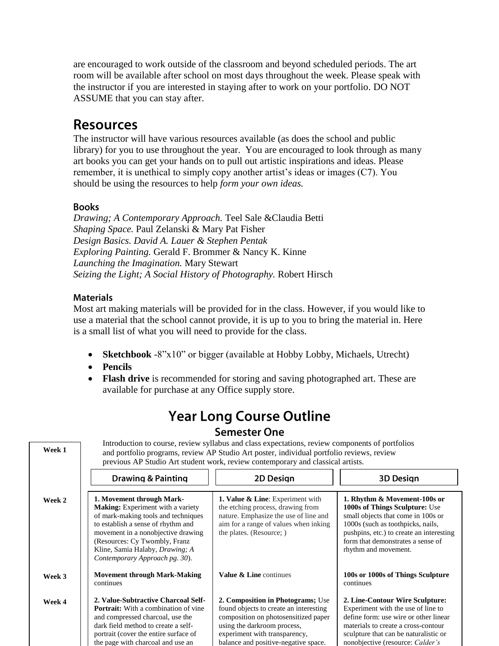are encouraged to work outside of the classroom and beyond scheduled periods. The art room will be available after school on most days throughout the week. Please speak with the instructor if you are interested in staying after to work on your portfolio. DO NOT ASSUME that you can stay after.

### **Resources**

The instructor will have various resources available (as does the school and public library) for you to use throughout the year. You are encouraged to look through as many art books you can get your hands on to pull out artistic inspirations and ideas. Please remember, it is unethical to simply copy another artist's ideas or images (C7). You should be using the resources to help *form your own ideas.*

#### **Books**

*Drawing; A Contemporary Approach.* Teel Sale &Claudia Betti *Shaping Space.* Paul Zelanski & Mary Pat Fisher *Design Basics. David A. Lauer & Stephen Pentak Exploring Painting.* Gerald F. Brommer & Nancy K. Kinne *Launching the Imagination.* Mary Stewart *Seizing the Light; A Social History of Photography.* Robert Hirsch

#### **Materials**

Most art making materials will be provided for in the class. However, if you would like to use a material that the school cannot provide, it is up to you to bring the material in. Here is a small list of what you will need to provide for the class.

- **Sketchbook** -8"x10" or bigger (available at Hobby Lobby, Michaels, Utrecht)
- **Pencils**
- **Flash drive** is recommended for storing and saving photographed art. These are available for purchase at any Office supply store.

### **Year Long Course Outline Semester One**

Introduction to course, review syllabus and class expectations, review components of portfolios **Week 1** and portfolio programs, review AP Studio Art poster, individual portfolio reviews, review previous AP Studio Art student work, review contemporary and classical artists. **Drawing & Painting** 2D Desian **3D Design 1. Value & Line**: Experiment with **1. Movement through Mark-1. Rhythm & Movement-100s or Week 2 Making:** Experiment with a variety the etching process, drawing from **1000s of Things Sculpture:** Use of mark-making tools and techniques nature. Emphasize the use of line and small objects that come in 100s or to establish a sense of rhythm and aim for a range of values when inking 1000s (such as toothpicks, nails, movement in a nonobjective drawing the plates. (Resource; ) pushpins, etc.) to create an interesting (Resources: Cy Twombly, Franz form that demonstrates a sense of Kline, Samia Halaby, *Drawing; A*  rhythm and movement. *Contemporary Approach pg. 30*). **Movement through Mark-Making Value & Line** continues **100s or 1000s of Things Sculpture Week 3** continues continues **2. Value-Subtractive Charcoal Self-2. Composition in Photograms;** Use **2. Line-Contour Wire Sculpture: Week 4 Portrait:** With a combination of vine found objects to create an interesting Experiment with the use of line to and compressed charcoal, use the composition on photosensitized paper define form: use wire or other linear dark field method to create a selfusing the darkroom process, materials to create a cross-contour portrait (cover the entire surface of experiment with transparency, sculpture that can be naturalistic or the page with charcoal and use an balance and positive-negative space. nonobjective (resource: *Calder's*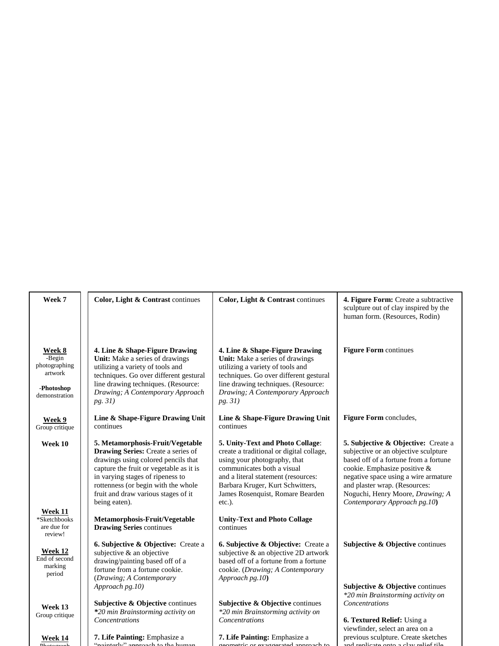| Week 7                                                                             | Color, Light & Contrast continues                                                                                                                                                                                                                                                           | Color, Light & Contrast continues                                                                                                                                                                                                                                      | 4. Figure Form: Create a subtractive<br>sculpture out of clay inspired by the<br>human form. (Resources, Rodin)                                                                                                                                                                                   |
|------------------------------------------------------------------------------------|---------------------------------------------------------------------------------------------------------------------------------------------------------------------------------------------------------------------------------------------------------------------------------------------|------------------------------------------------------------------------------------------------------------------------------------------------------------------------------------------------------------------------------------------------------------------------|---------------------------------------------------------------------------------------------------------------------------------------------------------------------------------------------------------------------------------------------------------------------------------------------------|
| <b>Week 8</b><br>-Begin<br>photographing<br>artwork<br>-Photoshop<br>demonstration | 4. Line & Shape-Figure Drawing<br>Unit: Make a series of drawings<br>utilizing a variety of tools and<br>techniques. Go over different gestural<br>line drawing techniques. (Resource:<br>Drawing; A Contemporary Approach<br>pg. 31)                                                       | 4. Line & Shape-Figure Drawing<br>Unit: Make a series of drawings<br>utilizing a variety of tools and<br>techniques. Go over different gestural<br>line drawing techniques. (Resource:<br>Drawing; A Contemporary Approach<br>pg. 31)                                  | <b>Figure Form continues</b>                                                                                                                                                                                                                                                                      |
| <b>Week 9</b><br>Group critique                                                    | Line & Shape-Figure Drawing Unit<br>continues                                                                                                                                                                                                                                               | Line & Shape-Figure Drawing Unit<br>continues                                                                                                                                                                                                                          | Figure Form concludes,                                                                                                                                                                                                                                                                            |
| Week 10                                                                            | 5. Metamorphosis-Fruit/Vegetable<br>Drawing Series: Create a series of<br>drawings using colored pencils that<br>capture the fruit or vegetable as it is<br>in varying stages of ripeness to<br>rottenness (or begin with the whole<br>fruit and draw various stages of it<br>being eaten). | 5. Unity-Text and Photo Collage:<br>create a traditional or digital collage,<br>using your photography, that<br>communicates both a visual<br>and a literal statement (resources:<br>Barbara Kruger, Kurt Schwitters,<br>James Rosenquist, Romare Bearden<br>$etc.$ ). | 5. Subjective & Objective: Create a<br>subjective or an objective sculpture<br>based off of a fortune from a fortune<br>cookie. Emphasize positive &<br>negative space using a wire armature<br>and plaster wrap. (Resources:<br>Noguchi, Henry Moore, Drawing; A<br>Contemporary Approach pg.10) |
| Week 11<br>*Sketchbooks<br>are due for<br>review!                                  | Metamorphosis-Fruit/Vegetable<br><b>Drawing Series continues</b>                                                                                                                                                                                                                            | <b>Unity-Text and Photo Collage</b><br>continues                                                                                                                                                                                                                       |                                                                                                                                                                                                                                                                                                   |
| <b>Week 12</b><br>End of second<br>marking<br>period                               | <b>6. Subjective &amp; Objective:</b> Create a<br>subjective & an objective<br>drawing/painting based off of a<br>fortune from a fortune cookie.<br>(Drawing; A Contemporary                                                                                                                | <b>6. Subjective &amp; Objective:</b> Create a<br>subjective & an objective 2D artwork<br>based off of a fortune from a fortune<br>cookie. (Drawing; A Contemporary<br>Approach pg.10)                                                                                 | Subjective $\&$ Objective continues                                                                                                                                                                                                                                                               |
| Week 13<br>Group critique                                                          | Approach pg.10)<br>Subjective & Objective continues<br>*20 min Brainstorming activity on<br>Concentrations                                                                                                                                                                                  | Subjective & Objective continues<br>*20 min Brainstorming activity on<br>Concentrations                                                                                                                                                                                | Subjective $\&$ Objective continues<br>*20 min Brainstorming activity on<br>Concentrations<br><b>6. Textured Relief:</b> Using a<br>viewfinder, select an area on a                                                                                                                               |

**Week 14** Photograph

ľ

"painterly" approach to the human

**7. Life Painting:** Emphasize a

**7. Life Painting:** Emphasize a geometric or exaggerated approach to

previous sculpture. Create sketches and replicate onto a clay relief tile,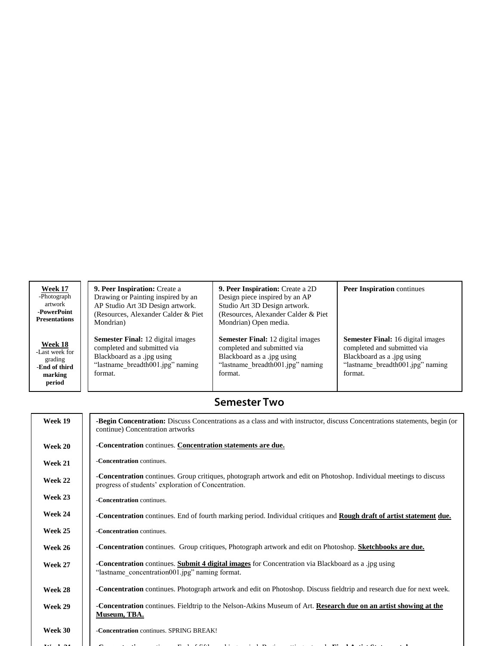| Week 17                                                                    | <b>9. Peer Inspiration:</b> Create a                                                                                                                 | <b>9. Peer Inspiration:</b> Create a 2D                                                                                                              | <b>Peer Inspiration</b> continues                                                                                                                    |
|----------------------------------------------------------------------------|------------------------------------------------------------------------------------------------------------------------------------------------------|------------------------------------------------------------------------------------------------------------------------------------------------------|------------------------------------------------------------------------------------------------------------------------------------------------------|
| -Photograph                                                                | Drawing or Painting inspired by an                                                                                                                   | Design piece inspired by an AP                                                                                                                       |                                                                                                                                                      |
| artwork                                                                    | AP Studio Art 3D Design artwork.                                                                                                                     | Studio Art 3D Design artwork.                                                                                                                        |                                                                                                                                                      |
| -PowerPoint                                                                | (Resources, Alexander Calder & Piet)                                                                                                                 | (Resources, Alexander Calder & Piet)                                                                                                                 |                                                                                                                                                      |
| <b>Presentations</b>                                                       | Mondrian)                                                                                                                                            | Mondrian) Open media.                                                                                                                                |                                                                                                                                                      |
| Week 18<br>-Last week for<br>grading<br>-End of third<br>marking<br>period | <b>Semester Final:</b> 12 digital images<br>completed and submitted via<br>Blackboard as a .jpg using<br>"lastname breadth001.jpg" naming<br>format. | <b>Semester Final:</b> 12 digital images<br>completed and submitted via<br>Blackboard as a .jpg using<br>"lastname breadth001.jpg" naming<br>format. | <b>Semester Final:</b> 16 digital images<br>completed and submitted via<br>Blackboard as a .jpg using<br>"lastname breadth001.jpg" naming<br>format. |

### **Semester Two**

| Week 19        | <b>-Begin Concentration:</b> Discuss Concentrations as a class and with instructor, discuss Concentrations statements, begin (or<br>continue) Concentration artworks       |  |  |
|----------------|----------------------------------------------------------------------------------------------------------------------------------------------------------------------------|--|--|
| Week 20        | -Concentration continues. Concentration statements are due.                                                                                                                |  |  |
| Week 21        | -Concentration continues.                                                                                                                                                  |  |  |
| <b>Week 22</b> | -Concentration continues. Group critiques, photograph artwork and edit on Photoshop. Individual meetings to discuss<br>progress of students' exploration of Concentration. |  |  |
| Week 23        | -Concentration continues.                                                                                                                                                  |  |  |
| Week 24        | -Concentration continues. End of fourth marking period. Individual critiques and Rough draft of artist statement due.                                                      |  |  |
| Week 25        | -Concentration continues.                                                                                                                                                  |  |  |
| Week 26        | -Concentration continues. Group critiques, Photograph artwork and edit on Photoshop. Sketchbooks are due.                                                                  |  |  |
| Week 27        | -Concentration continues. Submit 4 digital images for Concentration via Blackboard as a .jpg using<br>"lastname concentration 001.jpg" naming format.                      |  |  |
| Week 28        | -Concentration continues. Photograph artwork and edit on Photoshop. Discuss fieldtrip and research due for next week.                                                      |  |  |
| Week 29        | -Concentration continues. Fieldtrip to the Nelson-Atkins Museum of Art. Research due on an artist showing at the<br><b>Museum, TBA.</b>                                    |  |  |
| Week 30        | -Concentration continues. SPRING BREAK!                                                                                                                                    |  |  |
|                |                                                                                                                                                                            |  |  |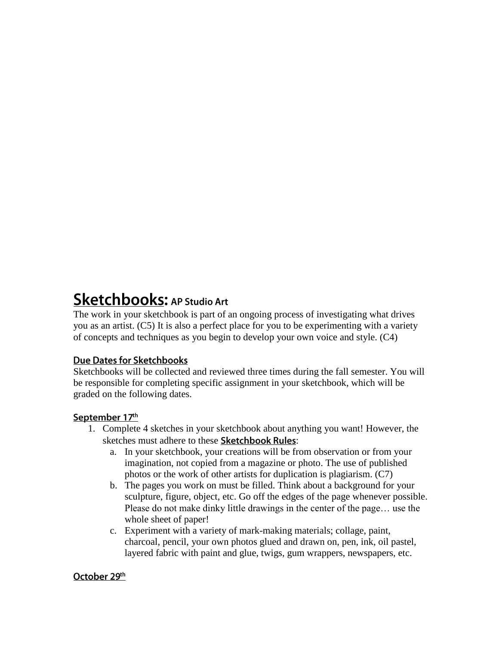## **Sketchbooks: AP Studio Art**

The work in your sketchbook is part of an ongoing process of investigating what drives you as an artist. (C5) It is also a perfect place for you to be experimenting with a variety of concepts and techniques as you begin to develop your own voice and style. (C4)

#### **Due Dates for Sketchbooks**

Sketchbooks will be collected and reviewed three times during the fall semester. You will be responsible for completing specific assignment in your sketchbook, which will be graded on the following dates.

#### September 17th

- 1. Complete 4 sketches in your sketchbook about anything you want! However, the sketches must adhere to these Sketchbook Rules:
	- a. In your sketchbook, your creations will be from observation or from your imagination, not copied from a magazine or photo. The use of published photos or the work of other artists for duplication is plagiarism. (C7)
	- b. The pages you work on must be filled. Think about a background for your sculpture, figure, object, etc. Go off the edges of the page whenever possible. Please do not make dinky little drawings in the center of the page… use the whole sheet of paper!
	- c. Experiment with a variety of mark-making materials; collage, paint, charcoal, pencil, your own photos glued and drawn on, pen, ink, oil pastel, layered fabric with paint and glue, twigs, gum wrappers, newspapers, etc.

#### October 29th